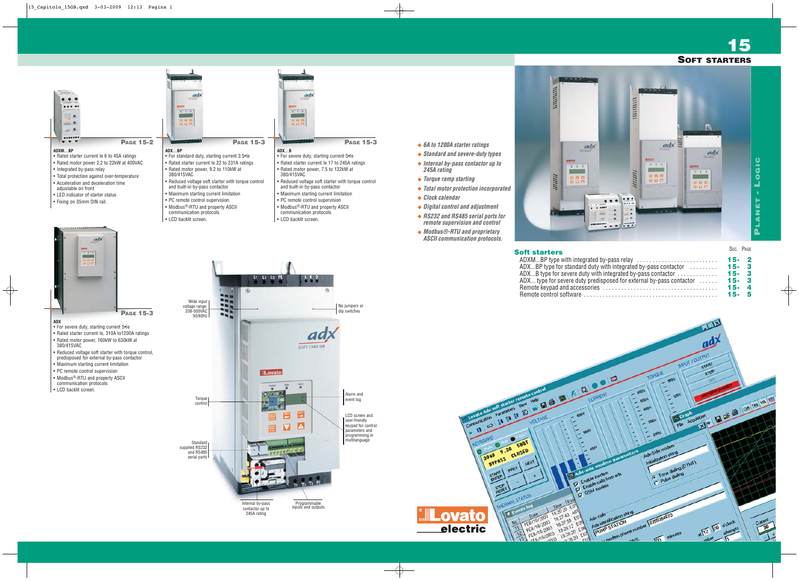**15**



|                                                          | OEU. FAUE |  |
|----------------------------------------------------------|-----------|--|
|                                                          | $15 - 2$  |  |
| uty with integrated by-pass contactor $\ldots \ldots$    | $15 - 3$  |  |
| with integrated by-pass contactor $\dots\dots\dots\dots$ | $15 - 3$  |  |
| redisposed for external by-pass contactor $\dots$        | $15 - 3$  |  |
|                                                          | $15 - 4$  |  |
|                                                          | $15 - 5$  |  |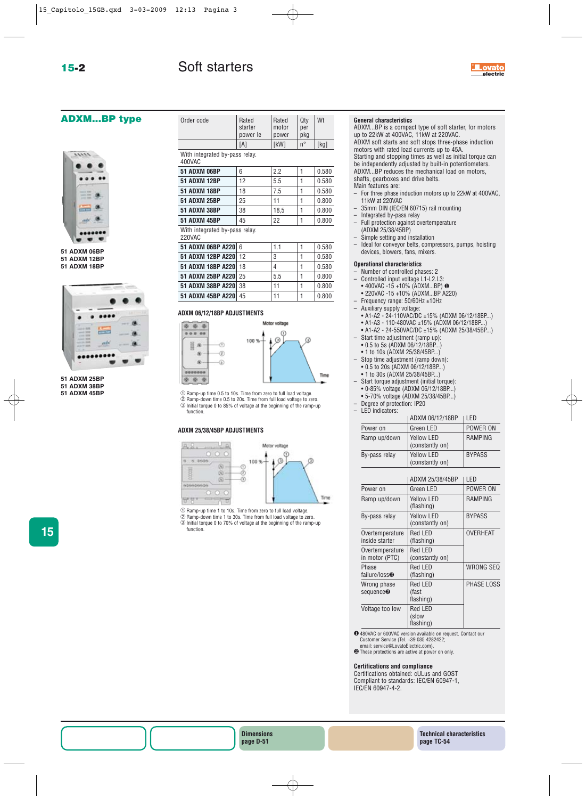# **ADXM...BP type**



**51 ADXM 06BP 51 ADXM 12BP 51 ADXM 18BP**



**51 ADXM 25BP 51 ADXM 38BP**

**51 ADXM 45BP**

**15**

| Order code | Rated<br>starter<br>power le | Rated<br>motor<br>power | Qtv<br>per<br>pkg | Wt   |
|------------|------------------------------|-------------------------|-------------------|------|
|            | [A]                          | <b>IkW1</b>             | $n^{\circ}$       | [kg] |

#### With integrated by-pass relay. 400VAC

| <b>51 ADXM 06BP</b>            | 6  | 22   |  | 0.580 |
|--------------------------------|----|------|--|-------|
| <b>51 ADXM 12BP</b>            | 12 | 5.5  |  | 0.580 |
| <b>51 ADXM 18BP</b>            | 18 | 7.5  |  | 0.580 |
| <b>51 ADXM 25BP</b>            | 25 | 11   |  | 0.800 |
| <b>51 ADXM 38BP</b>            | 38 | 18.5 |  | 0.800 |
| <b>51 ADXM 45BP</b>            | 45 | 22   |  | 0.800 |
| With integrated by-pass relay. |    |      |  |       |

220VAC

| 51 ADXM 06BP A220 6  | 11  | 0.580 |
|----------------------|-----|-------|
| 51 ADXM 12BP A220 12 | 3   | 0.580 |
| 51 ADXM 18BP A220 18 | 4   | 0.580 |
| 51 ADXM 25BP A220 25 | 5.5 | 0.800 |
| 51 ADXM 38BP A220 38 | 11  | 0.800 |
| 51 ADXM 45BP A220 45 | 11  | 0.800 |

### **ADXM 06/12/18BP ADJUSTMENTS**



➀Ramp-up time 0.5 to 10s. Time from zero to full load voltage. ➁Ramp-down time 0.5 to 20s. Time from full load voltage to zero.

➂Initial torque 0 to 85% of voltage at the beginning of the ramp-up function.

### **ADXM 25/38/45BP ADJUSTMENTS**



Ramp-up time 1 to 10s. Time from zero to full load voltage. Ramp-down time 1 to 30s. Time from full load voltage to zero. Initial torque 0 to 70% of voltage at the beginning of the ramp-up function.

## **General characteristics**

ADXM...BP is a compact type of soft starter, for motors up to 22kW at 400VAC, 11kW at 220VAC. ADXM soft starts and soft stops three-phase induction motors with rated load currents up to 45A. Starting and stopping times as well as initial torque can be independently adjusted by built-in potentiometers. ADXM...BP reduces the mechanical load on motors,

**electric**

Lovato

shafts, gearboxes and drive belts.

- Main features are:
- For three phase induction motors up to 22kW at 400VAC, 11kW at 220VAC
- 35mm DIN (IEC/EN 60715) rail mounting
- Integrated by-pass relay
- Full protection against overtemperature (ADXM 25/38/45BP)
- Simple setting and installation
	- Ideal for conveyor belts, compressors, pumps, hoisting devices, blowers, fans, mixers.

### **Operational characteristics**

- Number of controlled phases: 2
- Controlled input voltage L1-L2.L3:
- 400VAC -15 +10% (ADXM...BP) ❶
- 220VAC -15 +10% (ADXM...BP A220)
- Frequency range: 50/60Hz ±10Hz
- Auxiliary supply voltage:
- A1-A2 24-110VAC/DC ±15% (ADXM 06/12/18BP...)
- A1-A3 110-480VAC ±15% (ADXM 06/12/18BP...)
- A1-A2 24-550VAC/DC ±15% (ADXM 25/38/45BP...)
- Start time adjustment (ramp up):
- 0.5 to 5s (ADXM 06/12/18BP...)
- 1 to 10s (ADXM 25/38/45BP...) – Stop time adjustment (ramp down):
- 0.5 to 20s (ADXM 06/12/18BP...)
- 1 to 30s (ADXM 25/38/45BP...) Start torque adjustment (initial torque):
- 0-85% voltage (ADXM 06/12/18BP...)
- 5-70% voltage (ADXM 25/38/45BP...)
- Degree of protection: IP20
- LED indicators:

|               | ADXM 06/12/18BP                      | I FD.          |
|---------------|--------------------------------------|----------------|
| Power on      | Green LED                            | POWER ON       |
| Ramp up/down  | Yellow LED<br>(constantly on)        | <b>RAMPING</b> |
| By-pass relay | <b>Yellow LED</b><br>(constantly on) | <b>BYPASS</b>  |

|                                      | ADXM 25/38/45BP               | LED             |
|--------------------------------------|-------------------------------|-----------------|
| Power on                             | Green LED                     | POWER ON        |
| Ramp up/down                         | Yellow LED<br>(flashing)      | RAMPING         |
| By-pass relay                        | Yellow LED<br>(constantly on) | <b>BYPASS</b>   |
| Overtemperature<br>inside starter    | Red LED<br>(flashing)         | <b>OVERHEAT</b> |
| Overtemperature<br>in motor (PTC)    | Red LED<br>(constantly on)    |                 |
| Phase<br>failure/loss@               | Red LED<br>(flashing)         | WRONG SEQ       |
| Wrong phase<br>sequence <sup>2</sup> | Red LED<br>(fast<br>flashing) | PHASE LOSS      |
| Voltage too low                      | Red LED<br>(slow<br>flashing) |                 |

❶480VAC or 600VAC version available on request. Contact our Customer Service (Tel. +39 035 4282422;

email: service@LovatoElectric.com).<br> **@** These protections are active at power on only.

## **Certifications and compliance**

Certifications obtained: cULus and GOST Compliant to standards: IEC/EN 60947-1, IEC/EN 60947-4-2.

**Technical characteristics page TC-54**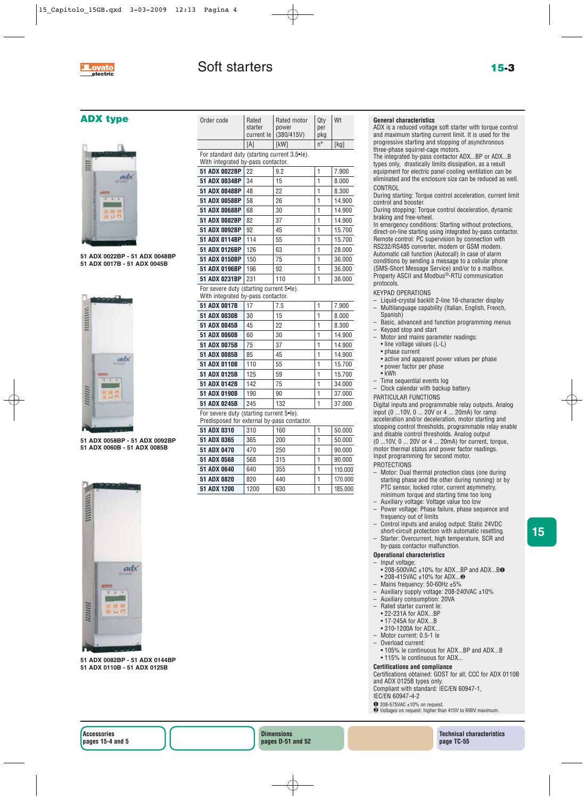# **ADX type**



**51 ADX 0022BP - 51 ADX 0048BP 51 ADX 0017B - 51 ADX 0045B**



**51 ADX 0058BP - 51 ADX 0092BP 51 ADX 0060B - 51 ADX 0085B**



**51 ADX 0082BP - 51 ADX 0144BP 51 ADX 0110B - 51 ADX 0125B**

| Order code                                                                              | Rated<br>starter<br>current le | Rated motor<br>power<br>(380/415V) | Qty<br>per<br>pkg | Wt      |
|-----------------------------------------------------------------------------------------|--------------------------------|------------------------------------|-------------------|---------|
|                                                                                         | [A]                            | [kW]                               | $n^{\circ}$       | [kg]    |
| For standard duty (starting current 3.5•le).<br>With integrated by-pass contactor.      |                                |                                    |                   |         |
| 51 ADX 0022BP                                                                           | 22                             | 9.2                                | 1                 | 7.900   |
| 51 ADX 0034BP                                                                           | 34                             | 15                                 | 1                 | 8.000   |
| 51 ADX 0048BP                                                                           | 48                             | 22                                 | 1                 | 8.300   |
| 51 ADX 0058BP                                                                           | 58                             | 26                                 | 1                 | 14.900  |
| 51 ADX 0068BP                                                                           | 68                             | 30                                 | 1                 | 14.900  |
| 51 ADX 0082BP                                                                           | 82                             | 37                                 | 1                 | 14.900  |
| 51 ADX 0092BP                                                                           | 92                             | 45                                 | 1                 | 15.700  |
| 51 ADX 0114BP                                                                           | 114                            | 55                                 | 1                 | 15.700  |
| 51 ADX 0126BP                                                                           | 126                            | 63                                 | 1                 | 28.000  |
| 51 ADX 0150BP                                                                           | 150                            | 75                                 | 1                 | 36.000  |
| 51 ADX 0196BP                                                                           | 196                            | 92                                 | 1                 | 36.000  |
| 51 ADX 0231BP                                                                           | 231                            | 110                                | 1                 | 36.000  |
| For severe duty (starting current 5•le).<br>With integrated by-pass contactor.          |                                |                                    |                   |         |
| 51 ADX 0017B                                                                            | 17                             | 7.5                                | 1                 | 7.900   |
| 51 ADX 0030B                                                                            | 30                             | 15                                 | 1                 | 8.000   |
| 51 ADX 0045B                                                                            | 45                             | 22                                 | 1                 | 8.300   |
| <b>51 ADX 0060B</b>                                                                     | 60                             | 30                                 | 1                 | 14.900  |
| 51 ADX 0075B                                                                            | 75                             | 37                                 | 1                 | 14.900  |
| 51 ADX 0085B                                                                            | 85                             | 45                                 | 1                 | 14.900  |
| 51 ADX 0110B                                                                            | 110                            | 55                                 | 1                 | 15.700  |
| 51 ADX 0125B                                                                            | 125                            | 59                                 | 1                 | 15.700  |
| 51 ADX 0142B                                                                            | 142                            | 75                                 | 1                 | 34.000  |
| 51 ADX 0190B                                                                            | 190                            | 90                                 | 1                 | 37.000  |
| 51 ADX 0245B                                                                            | 245                            | 132                                | 1                 | 37.000  |
| For severe duty (starting current 5•le).<br>Predisposed for external by-pass contactor. |                                |                                    |                   |         |
| 51 ADX 0310                                                                             | 310                            | 160                                | 1                 | 50.000  |
| 51 ADX 0365                                                                             | 365                            | 200                                | 1                 | 50.000  |
| 51 ADX 0470                                                                             | 470                            | 250                                | 1                 | 90.000  |
| 51 ADX 0568                                                                             | 568                            | 315                                | 1                 | 90.000  |
| 51 ADX 0640                                                                             | 640                            | 355                                | 1                 | 110.000 |
| 51 ADX 0820                                                                             | 820                            | 440                                | 1                 | 170.000 |
| 51 ADX 1200                                                                             | 1200                           | 630                                | 1                 | 185.000 |

# **General characteristics**

ADX is a reduced voltage soft starter with torque control and maximum starting current limit. It is used for the progressive starting and stopping of asynchronous three-phase squirrel-cage motors.

The integrated by-pass contactor ADX...BP or ADX...B types only, drastically limits dissipation, as a result equipment for electric panel cooling ventilation can be eliminated and the enclosure size can be reduced as well. **CONTROL** 

During starting: Torque control acceleration, current limit control and booster.

During stopping: Torque control deceleration, dynamic braking and free-wheel.

In emergency conditions: Starting without protections, direct-on-line starting using integrated by-pass contactor. Remote control: PC supervision by connection with RS232/RS485 converter, modem or GSM modem. Automatic call function (Autocall) in case of alarm conditions by sending a message to a cellular phone (SMS-Short Message Service) and/or to a mailbox. Property ASCII and Modbus<sup>®</sup>-RTU communication protocols.

KEYPAD OPERATIONS

- Liquid-crystal backlit 2-line 16-character display – Multilanguage capability (Italian, English, French, Spanish)
- Basic, advanced and function programming menus
- Keypad stop and start
- Motor and mains parameter readings:
- line voltage values (L-L)
- phase current
- active and apparent power values per phase
- power factor per phase
- kWh
- Time sequential events log
- Clock calendar with backup battery.
- PARTICULAR FUNCTIONS

Digital inputs and programmable relay outputs. Analog input (0 ...10V, 0 ... 20V or 4 ... 20mA) for ramp acceleration and/or deceleration, motor starting and stopping control thresholds, programmable relay enable and disable control thresholds. Analog output (0 ...10V, 0 ... 20V or 4 ... 20mA) for current, torque, motor thermal status and power factor readings. Input programming for second motor.

### **PROTECTIONS**

- Motor: Dual thermal protection class (one during starting phase and the other during running) or by PTC sensor, locked rotor, current asymmetry, minimum torque and starting time too long
- Auxiliary voltage: Voltage value too low – Power voltage: Phase failure, phase sequence and
- frequency out of limits
- Control inputs and analog output: Static 24VDC short-circuit protection with automatic resetting.
- Starter: Overcurrent, high temperature, SCR and by-pass contactor malfunction.

# **Operational characteristics**

### – Input voltage:

- 208-500VAC ±10% for ADX...BP and ADX...B❶
- 208-415VAC ±10% for ADX...❷
- Mains frequency: 50-60Hz ±5%
- Auxiliary supply voltage: 208-240VAC ±10%
- Auxiliary consumption: 20VA
- Rated starter current Ie:
- 22-231A for ADX...BP • 17-245A for ADX...B
- 310-1200A for ADX...
- Motor current: 0.5-1 le
- Overload current:
- 105% Ie continuous for ADX...BP and ADX...B
- 115% le continuous for ADX...

## **Certifications and compliance**

Certifications obtained: GOST for all; CCC for ADX 0110B and ADX 0125B types only.

Compliant with standard: IEC/EN 60947-1,

IEC/EN 60947-4-2

 $\bullet$  208-575VAC ±10% on request.

❷ Voltages on request: higher than 415V to 690V maximum.

**Dimensions pages D-51 and 52** **Technical characteristics page TC-55**

**15**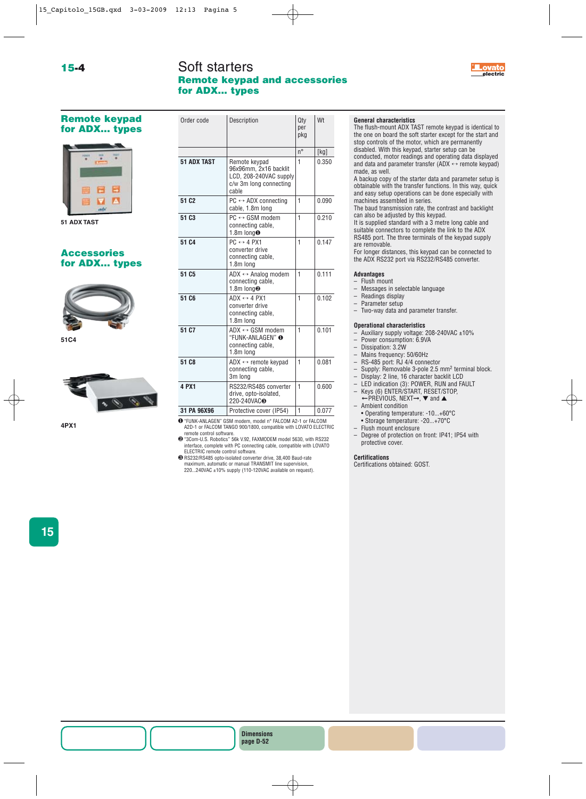# Soft starters **Remote keypad and accessories for ADX... types**

Order code Description Qty Wt



# **Remote keypad for ADX... types**



**51 ADX TAST**

# **Accessories for ADX... types**



**51C4**



**4PX1**

| uruer cuue         | Description                                                                                          | uly<br>per<br>pkg | VV L  |
|--------------------|------------------------------------------------------------------------------------------------------|-------------------|-------|
|                    |                                                                                                      | $n^{\circ}$       | [kg]  |
| <b>51 ADX TAST</b> | Remote keypad<br>96x96mm, 2x16 backlit<br>LCD, 208-240VAC supply<br>c/w 3m long connecting<br>cable  | 1                 | 0.350 |
| 51 C <sub>2</sub>  | $PC \leftrightarrow ADX$ connecting<br>cable, 1.8m long                                              | 1                 | 0.090 |
| 51 C <sub>3</sub>  | $PC \leftrightarrow$ GSM modem<br>connecting cable.<br>1.8m $long0$                                  | $\mathbf{1}$      | 0.210 |
| 51 C <sub>4</sub>  | $PC \leftrightarrow 4$ PX1<br>converter drive<br>connecting cable,<br>1.8m long                      | 1                 | 0.147 |
| 51 C <sub>5</sub>  | $ADX \leftrightarrow$ Analog modem<br>connecting cable,<br>1.8m long <sup>®</sup>                    | $\mathbf{1}$      | 0.111 |
| 51 C6              | $ADX \leftrightarrow 4$ PX1<br>converter drive<br>connecting cable,<br>1.8m long                     | $\mathbf{1}$      | 0.102 |
| 51 C7              | $ADX \leftrightarrow GSM \text{ modem}$<br>"FUNK-ANLAGEN" <b>®</b><br>connecting cable,<br>1.8m long | 1                 | 0.101 |
| 51 C <sub>8</sub>  | $ADX \leftrightarrow$ remote keypad<br>connecting cable.<br>3m long                                  | 1                 | 0.081 |
| 4 PX1              | RS232/RS485 converter<br>drive, opto-isolated,<br>220-240VAC <sup>®</sup>                            | 1                 | 0.600 |
| 31 PA 96X96        | Protective cover (IP54)                                                                              | $\mathbf{1}$      | 0.077 |

- ❶"FUNK-ANLAGEN" GSM modem, model n° FALCOM A2-1 or FALCOM A2D-1 or FALCOM TANGO 900/1800, compatible with LOVATO ELECTRIC
- remote control software. ❷"3Com-U.S. Robotics" 56k V.92, FAXMODEM model 5630, with RS232 interface, complete with PC connecting cable, compatible with LOVATO ELECTRIC remote control software.
- ❸RS232/RS485 opto-isolated converter drive, 38,400 Baud-rate maximum, automatic or manual TRANSMIT line supervision, 220...240VAC ±10% supply (110-120VAC available on request).

### **General characteristics**

The flush-mount ADX TAST remote keypad is identical to the one on board the soft starter except for the start and stop controls of the motor, which are permanently disabled. With this keypad, starter setup can be conducted, motor readings and operating data displayed and data and parameter transfer (ADX  $\leftrightarrow$  remote keypad)

made, as well. A backup copy of the starter data and parameter setup is obtainable with the transfer functions. In this way, quick and easy setup operations can be done especially with

machines assembled in series. The baud transmission rate, the contrast and backlight

can also be adjusted by this keypad.

It is supplied standard with a 3 metre long cable and suitable connectors to complete the link to the ADX RS485 port. The three terminals of the keypad supply are removable.

For longer distances, this keypad can be connected to the ADX RS232 port via RS232/RS485 converter.

### **Advantages**

- Flush mount
- Messages in selectable language
- Readings display
- Parameter setup
- Two-way data and parameter transfer.

#### **Operational characteristics**

- Auxiliary supply voltage: 208-240VAC ±10%
- Power consumption: 6.9VA
- Dissipation: 3.2W
- Mains frequency: 50/60Hz
- RS-485 port: RJ 4/4 connector
- Supply: Removable 3-pole 2.5 mm2 terminal block.
- Display: 2 line, 16 character backlit LCD
- LED indication (3): POWER, RUN and FAULT – Keys (6) ENTER/START, RESET/STOP,
- ← PREVIOUS, NEXT→, ▼ and ▲
- Ambient condition
- 
- Operating temperature: -10...+60°C • Storage temperature: -20...+70°C
- 
- Flush mount enclosure – Degree of protection on front: IP41; IP54 with protective cover.

### **Certifications**

Certifications obtained: GOST.

**15**